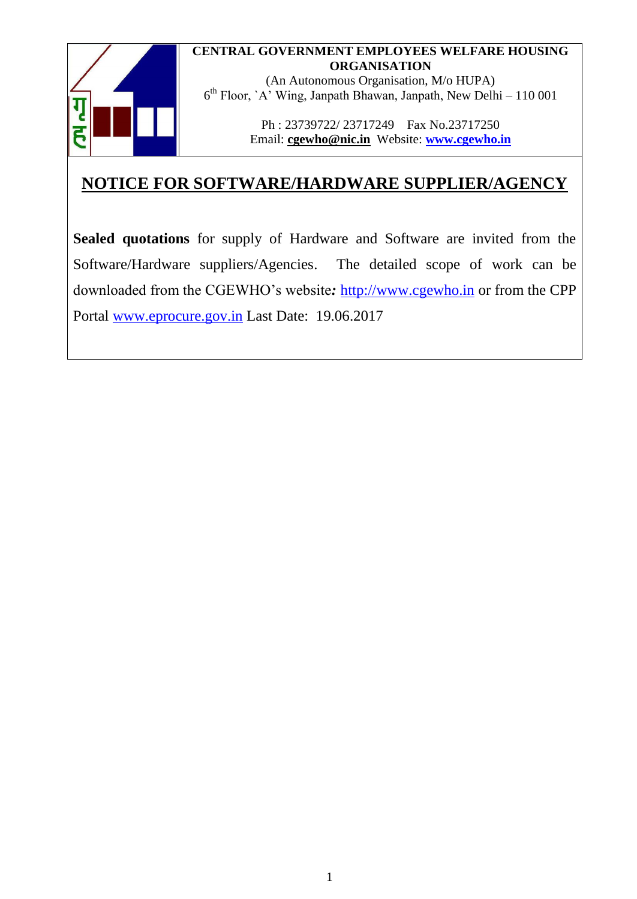### **CENTRAL GOVERNMENT EMPLOYEES WELFARE HOUSING ORGANISATION**



(An Autonomous Organisation, M/o HUPA) 6 th Floor, `A' Wing, Janpath Bhawan, Janpath, New Delhi – 110 001

> Ph : 23739722/ 23717249 Fax No.23717250 Email: **[cgewho@nic.in](mailto:cgewho@nic.in)** Website: **[www.cgewho.in](http://www.cgewho.in/)**

# **NOTICE FOR SOFTWARE/HARDWARE SUPPLIER/AGENCY**

**Sealed quotations** for supply of Hardware and Software are invited from the Software/Hardware suppliers/Agencies. The detailed scope of work can be downloaded from the CGEWHO's website*:* [http://www.cgewho.in](http://www.cgewho.in/) or from the CPP Portal [www.eprocure.gov.in](http://www.eprocure.gov.in/) Last Date: 19.06.2017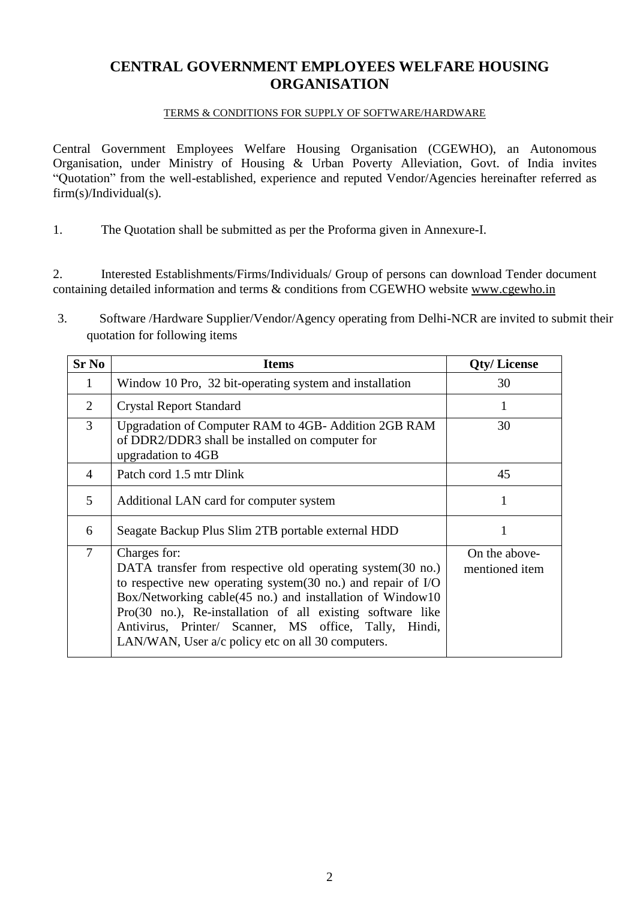### **CENTRAL GOVERNMENT EMPLOYEES WELFARE HOUSING ORGANISATION**

#### TERMS & CONDITIONS FOR SUPPLY OF SOFTWARE/HARDWARE

Central Government Employees Welfare Housing Organisation (CGEWHO), an Autonomous Organisation, under Ministry of Housing & Urban Poverty Alleviation, Govt. of India invites "Quotation" from the well-established, experience and reputed Vendor/Agencies hereinafter referred as firm(s)/Individual(s).

1. The Quotation shall be submitted as per the Proforma given in Annexure-I.

2. Interested Establishments/Firms/Individuals/ Group of persons can download Tender document containing detailed information and terms & conditions from CGEWHO website [www.cgewho.in](http://www.cgewho.in/)

3. Software /Hardware Supplier/Vendor/Agency operating from Delhi-NCR are invited to submit their quotation for following items

| <b>Sr No</b>   | <b>Items</b>                                                                                                                                                                                                                                                                                                                                                                                       | <b>Qty/License</b>              |
|----------------|----------------------------------------------------------------------------------------------------------------------------------------------------------------------------------------------------------------------------------------------------------------------------------------------------------------------------------------------------------------------------------------------------|---------------------------------|
| 1              | Window 10 Pro, 32 bit-operating system and installation                                                                                                                                                                                                                                                                                                                                            | 30                              |
| $\overline{2}$ | <b>Crystal Report Standard</b>                                                                                                                                                                                                                                                                                                                                                                     |                                 |
| $\overline{3}$ | Upgradation of Computer RAM to 4GB- Addition 2GB RAM<br>of DDR2/DDR3 shall be installed on computer for<br>upgradation to 4GB                                                                                                                                                                                                                                                                      | 30                              |
| $\overline{4}$ | Patch cord 1.5 mtr Dlink                                                                                                                                                                                                                                                                                                                                                                           | 45                              |
| 5              | Additional LAN card for computer system                                                                                                                                                                                                                                                                                                                                                            | 1                               |
| 6              | Seagate Backup Plus Slim 2TB portable external HDD                                                                                                                                                                                                                                                                                                                                                 |                                 |
| $\overline{7}$ | Charges for:<br>DATA transfer from respective old operating system (30 no.)<br>to respective new operating system $(30 \text{ no.})$ and repair of I/O<br>Box/Networking cable(45 no.) and installation of Window10<br>$Pro(30 no.)$ , Re-installation of all existing software like<br>Antivirus, Printer/ Scanner, MS office, Tally, Hindi,<br>LAN/WAN, User a/c policy etc on all 30 computers. | On the above-<br>mentioned item |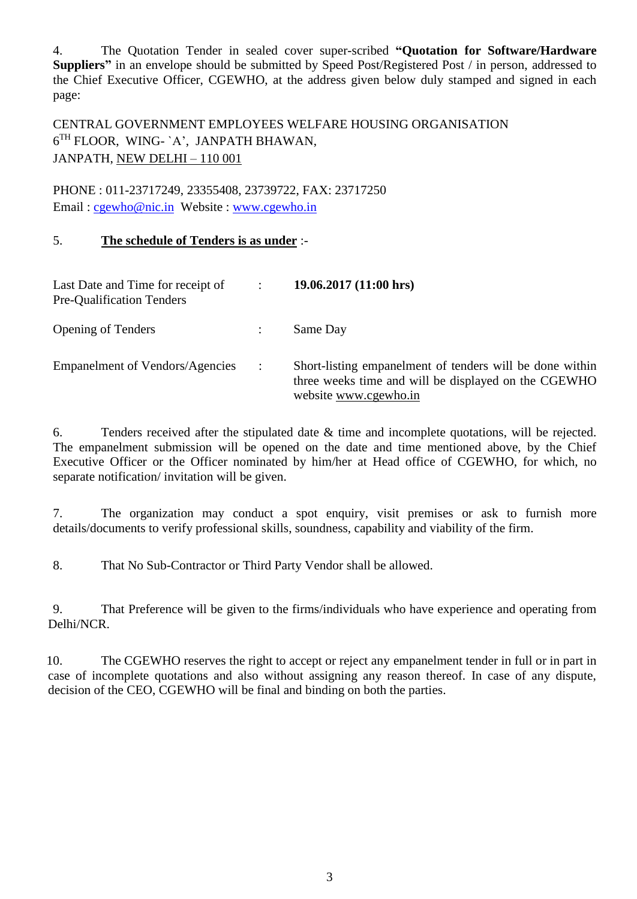4. The Quotation Tender in sealed cover super-scribed **"Quotation for Software/Hardware Suppliers"** in an envelope should be submitted by Speed Post/Registered Post / in person, addressed to the Chief Executive Officer, CGEWHO, at the address given below duly stamped and signed in each page:

CENTRAL GOVERNMENT EMPLOYEES WELFARE HOUSING ORGANISATION  $6^{TH}$  FLOOR, WING- `A', JANPATH BHAWAN, JANPATH, NEW DELHI – 110 001

PHONE : 011-23717249, 23355408, 23739722, FAX: 23717250 Email : [cgewho@nic.in](mailto:cgewho@nic.in) Website : [www.cgewho.in](http://www.cgewho.in/)

### 5. **The schedule of Tenders is as under** :-

| Last Date and Time for receipt of<br>Pre-Qualification Tenders | $\ddot{\phantom{a}}$ | 19.06.2017(11:00 hrs)                                                                                                                     |
|----------------------------------------------------------------|----------------------|-------------------------------------------------------------------------------------------------------------------------------------------|
| <b>Opening of Tenders</b>                                      |                      | Same Day                                                                                                                                  |
| <b>Empanelment of Vendors/Agencies</b>                         | $\ddot{\phantom{a}}$ | Short-listing empanelment of tenders will be done within<br>three weeks time and will be displayed on the CGEWHO<br>website www.cgewho.in |

6. Tenders received after the stipulated date & time and incomplete quotations, will be rejected. The empanelment submission will be opened on the date and time mentioned above, by the Chief Executive Officer or the Officer nominated by him/her at Head office of CGEWHO, for which, no separate notification/ invitation will be given.

7. The organization may conduct a spot enquiry, visit premises or ask to furnish more details/documents to verify professional skills, soundness, capability and viability of the firm.

8. That No Sub-Contractor or Third Party Vendor shall be allowed.

9. That Preference will be given to the firms/individuals who have experience and operating from Delhi/NCR.

10. The CGEWHO reserves the right to accept or reject any empanelment tender in full or in part in case of incomplete quotations and also without assigning any reason thereof. In case of any dispute, decision of the CEO, CGEWHO will be final and binding on both the parties.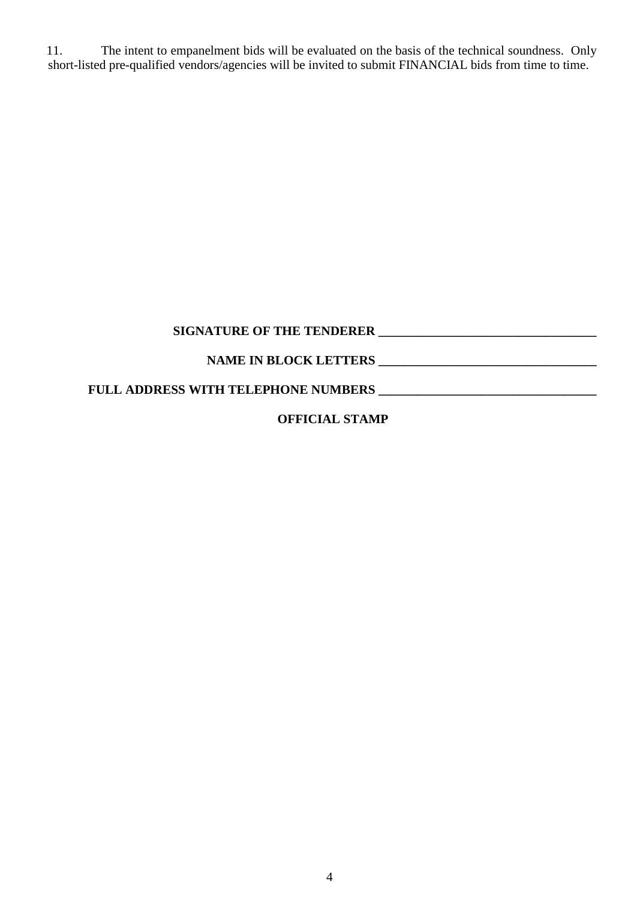11. The intent to empanelment bids will be evaluated on the basis of the technical soundness. Only short-listed pre-qualified vendors/agencies will be invited to submit FINANCIAL bids from time to time.

| <b>SIGNATURE OF THE TENDERER</b>           |  |
|--------------------------------------------|--|
| <b>NAME IN BLOCK LETTERS</b>               |  |
| <b>FULL ADDRESS WITH TELEPHONE NUMBERS</b> |  |

## **OFFICIAL STAMP**